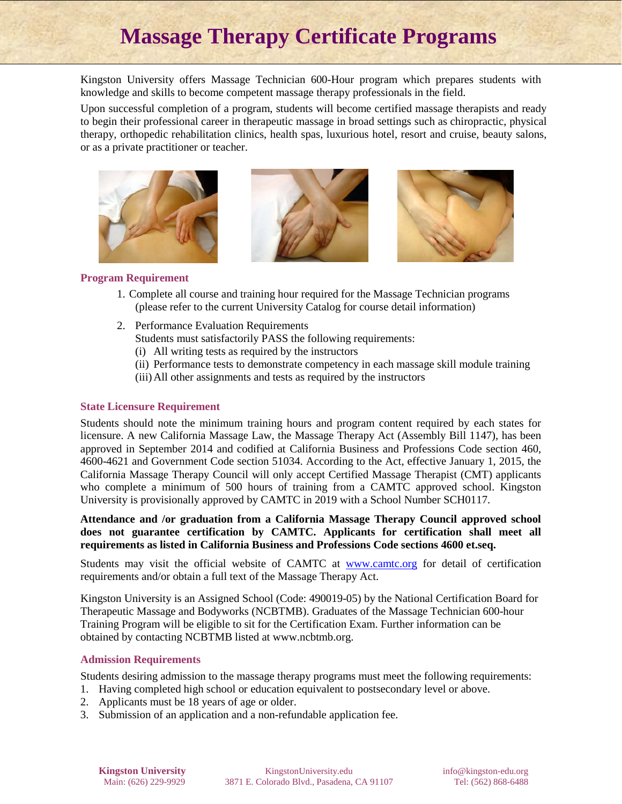# **Massage Therapy Certificate Programs**

Kingston University offers Massage Technician 600-Hour program which prepares students with knowledge and skills to become competent massage therapy professionals in the field.

Upon successful completion of a program, students will become certified massage therapists and ready to begin their professional career in therapeutic massage in broad settings such as chiropractic, physical therapy, orthopedic rehabilitation clinics, health spas, luxurious hotel, resort and cruise, beauty salons, or as a private practitioner or teacher.







### **Program Requirement**

- 1. Complete all course and training hour required for the Massage Technician programs (please refer to the current University Catalog for course detail information)
- 2. Performance Evaluation Requirements
	- Students must satisfactorily PASS the following requirements:
	- (i) All writing tests as required by the instructors
	- (ii) Performance tests to demonstrate competency in each massage skill module training
	- (iii)All other assignments and tests as required by the instructors

# **State Licensure Requirement**

Students should note the minimum training hours and program content required by each states for licensure. A new California Massage Law, the Massage Therapy Act (Assembly Bill 1147), has been approved in September 2014 and codified at California Business and Professions Code section 460, 4600-4621 and Government Code section 51034. According to the Act, effective January 1, 2015, the California Massage Therapy Council will only accept Certified Massage Therapist (CMT) applicants who complete a minimum of 500 hours of training from a CAMTC approved school. Kingston University is provisionally approved by CAMTC in 2019 with a School Number SCH0117.

**Attendance and /or graduation from a California Massage Therapy Council approved school does not guarantee certification by CAMTC. Applicants for certification shall meet all requirements as listed in California Business and Professions Code sections 4600 et.seq.**

Students may visit the official website of CAMTC at [www.camtc.org](http://www.camtc.org/) for detail of certification requirements and/or obtain a full text of the Massage Therapy Act.

Kingston University is an Assigned School (Code: 490019-05) by the National Certification Board for Therapeutic Massage and Bodyworks (NCBTMB). Graduates of the Massage Technician 600-hour Training Program will be eligible to sit for the Certification Exam. Further information can be obtained by contacting NCBTMB listed at www.ncbtmb.org.

# **Admission Requirements**

Students desiring admission to the massage therapy programs must meet the following requirements:

- 1. Having completed high school or education equivalent to postsecondary level or above.
- 2. Applicants must be 18 years of age or older.
- 3. Submission of an application and a non-refundable application fee.